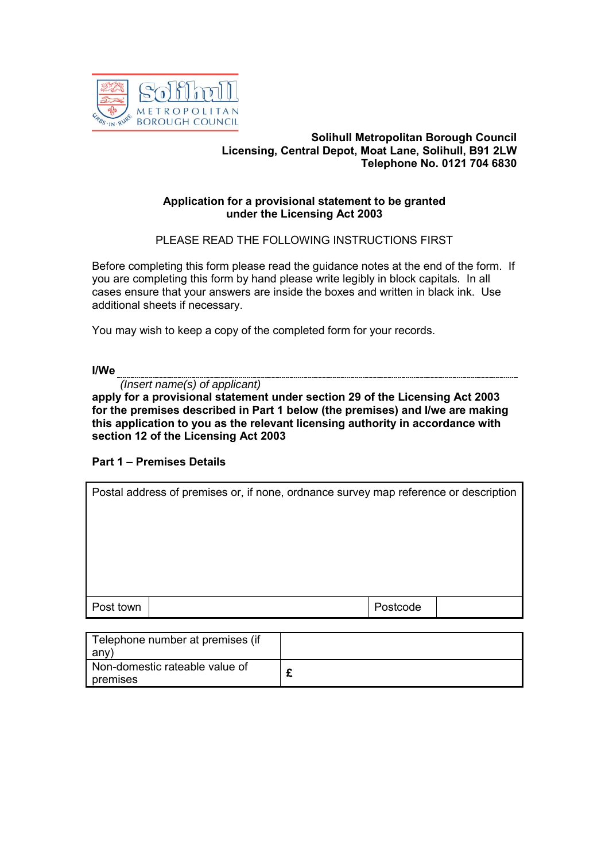

### **Solihull Metropolitan Borough Council Licensing, Central Depot, Moat Lane, Solihull, B91 2LW Telephone No. 0121 704 6830**

## **Application for a provisional statement to be granted under the Licensing Act 2003**

PLEASE READ THE FOLLOWING INSTRUCTIONS FIRST

Before completing this form please read the guidance notes at the end of the form. If you are completing this form by hand please write legibly in block capitals. In all cases ensure that your answers are inside the boxes and written in black ink. Use additional sheets if necessary.

You may wish to keep a copy of the completed form for your records.

**I/We**

*(Insert name(s) of applicant)*

**apply for a provisional statement under section 29 of the Licensing Act 2003 for the premises described in Part 1 below (the premises) and I/we are making this application to you as the relevant licensing authority in accordance with section 12 of the Licensing Act 2003**

## **Part 1 – Premises Details**

| Postal address of premises or, if none, ordnance survey map reference or description |  |  |          |  |  |
|--------------------------------------------------------------------------------------|--|--|----------|--|--|
|                                                                                      |  |  |          |  |  |
|                                                                                      |  |  |          |  |  |
|                                                                                      |  |  |          |  |  |
|                                                                                      |  |  |          |  |  |
| Post town                                                                            |  |  | Postcode |  |  |
|                                                                                      |  |  |          |  |  |

| Telephone number at premises (if           |  |
|--------------------------------------------|--|
| any                                        |  |
| Non-domestic rateable value of<br>premises |  |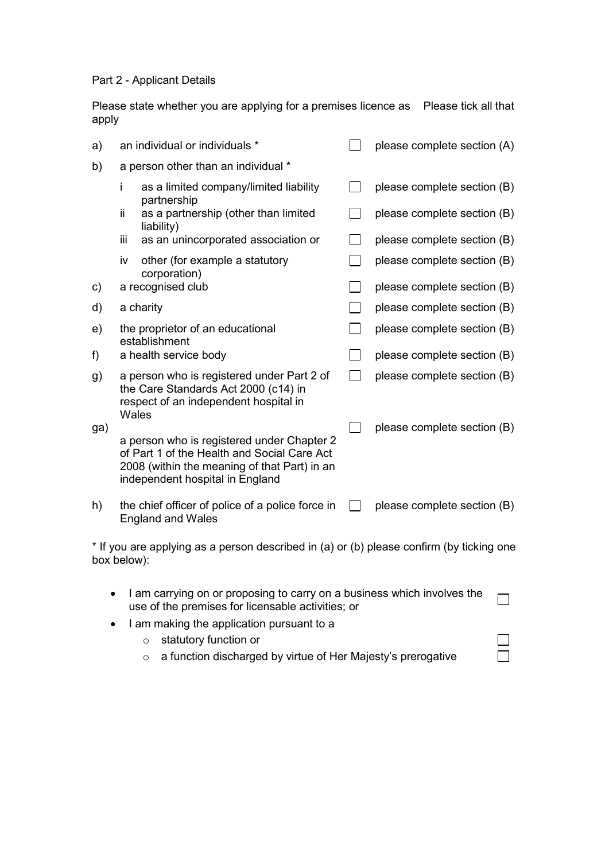Part 2 - Applicant Details

Please state whether you are applying for a premises licence as Please tick all that apply

| a)  |                                                   | an individual or individuals *                                                                                                                                               |              | please complete section (A) |
|-----|---------------------------------------------------|------------------------------------------------------------------------------------------------------------------------------------------------------------------------------|--------------|-----------------------------|
| b)  |                                                   | a person other than an individual *                                                                                                                                          |              |                             |
|     | Ť                                                 | as a limited company/limited liability<br>partnership                                                                                                                        |              | please complete section (B) |
|     | ii.                                               | as a partnership (other than limited<br>liability)                                                                                                                           |              | please complete section (B) |
|     | iij                                               | as an unincorporated association or                                                                                                                                          |              | please complete section (B) |
|     | iv                                                | other (for example a statutory<br>corporation)                                                                                                                               |              | please complete section (B) |
| C)  |                                                   | a recognised club                                                                                                                                                            |              | please complete section (B) |
| d)  |                                                   | a charity                                                                                                                                                                    |              | please complete section (B) |
| e)  | the proprietor of an educational<br>establishment |                                                                                                                                                                              |              | please complete section (B) |
| f)  |                                                   | a health service body                                                                                                                                                        |              | please complete section (B) |
| g)  | Wales                                             | a person who is registered under Part 2 of<br>the Care Standards Act 2000 (c14) in<br>respect of an independent hospital in                                                  | $\mathbf{I}$ | please complete section (B) |
| ga) |                                                   |                                                                                                                                                                              |              | please complete section (B) |
|     |                                                   | a person who is registered under Chapter 2<br>of Part 1 of the Health and Social Care Act<br>2008 (within the meaning of that Part) in an<br>independent hospital in England |              |                             |
| h)  |                                                   | the chief officer of police of a police force in<br><b>England and Wales</b>                                                                                                 |              | please complete section (B) |

\* If you are applying as a person described in (a) or (b) please confirm (by ticking one box below):

• I am carrying on or proposing to carry on a business which involves the  $\Box$ use of the premises for licensable activities; or

> $\Box$  $\Box$

- I am making the application pursuant to a
	- o statutory function or
	- o a function discharged by virtue of Her Majesty's prerogative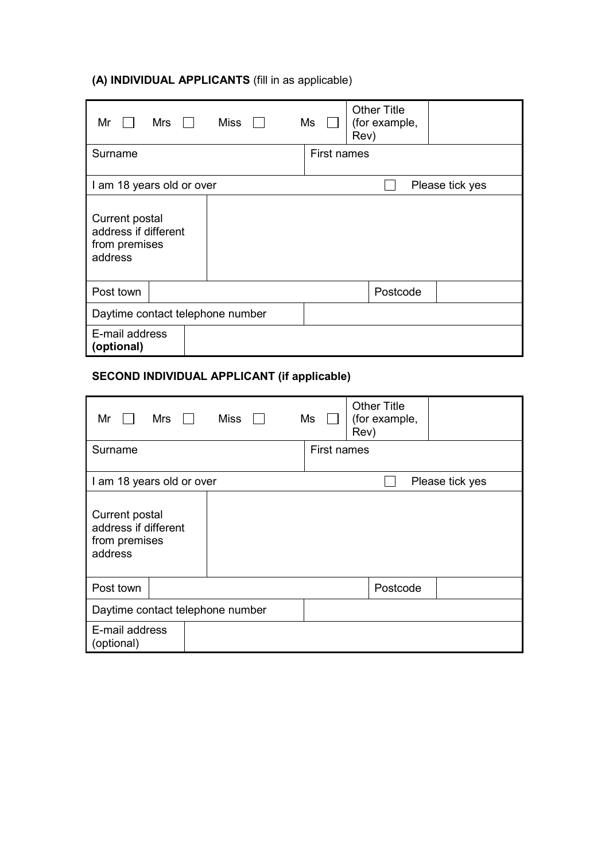# **(A) INDIVIDUAL APPLICANTS** (fill in as applicable)

| Miss<br>Mrs<br>Mr                                                  | <b>Other Title</b><br>(for example,<br>Ms<br>Rev) |
|--------------------------------------------------------------------|---------------------------------------------------|
| Surname                                                            | <b>First names</b>                                |
| I am 18 years old or over                                          | Please tick yes                                   |
| Current postal<br>address if different<br>from premises<br>address |                                                   |
| Post town                                                          | Postcode                                          |
| Daytime contact telephone number                                   |                                                   |
| E-mail address<br>(optional)                                       |                                                   |

# **SECOND INDIVIDUAL APPLICANT (if applicable)**

| Miss $\Box$<br>Mrs<br>Mr                                           | Ms<br>Rev) | <b>Other Title</b><br>(for example, |                 |  |
|--------------------------------------------------------------------|------------|-------------------------------------|-----------------|--|
| Surname                                                            |            | First names                         |                 |  |
| I am 18 years old or over                                          |            |                                     | Please tick yes |  |
| Current postal<br>address if different<br>from premises<br>address |            |                                     |                 |  |
| Post town                                                          |            | Postcode                            |                 |  |
| Daytime contact telephone number                                   |            |                                     |                 |  |
| E-mail address<br>(optional)                                       |            |                                     |                 |  |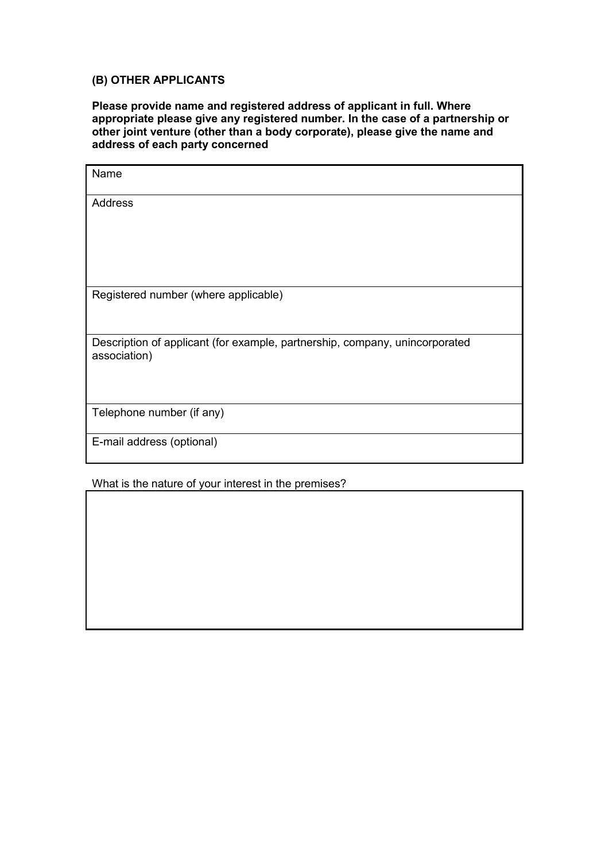# **(B) OTHER APPLICANTS**

**Please provide name and registered address of applicant in full. Where appropriate please give any registered number. In the case of a partnership or other joint venture (other than a body corporate), please give the name and address of each party concerned**

| Name                                                                                        |
|---------------------------------------------------------------------------------------------|
| Address                                                                                     |
|                                                                                             |
| Registered number (where applicable)                                                        |
| Description of applicant (for example, partnership, company, unincorporated<br>association) |
| Telephone number (if any)                                                                   |
| E-mail address (optional)                                                                   |

What is the nature of your interest in the premises?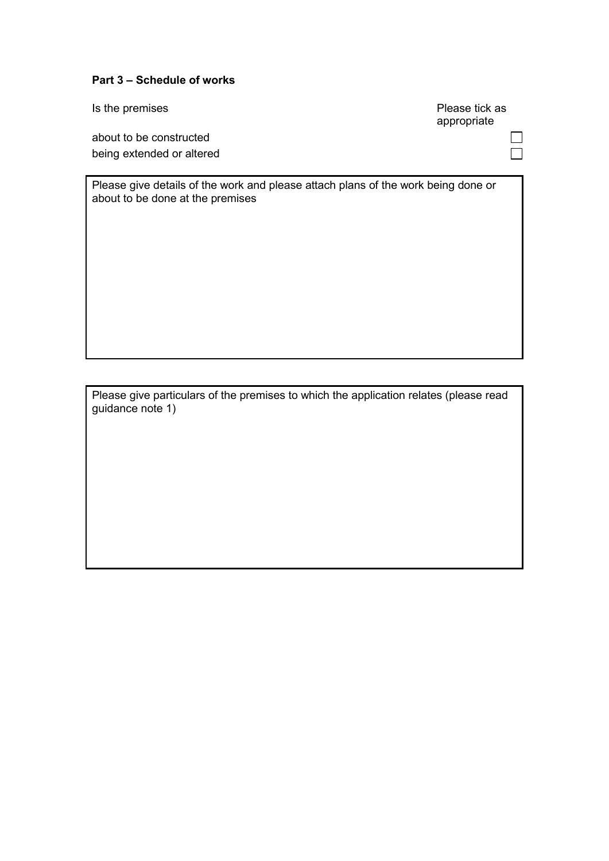## **Part 3 – Schedule of works**

about to be constructed being extended or altered

Please give details of the work and please attach plans of the work being done or about to be done at the premises

Please give particulars of the premises to which the application relates (please read guidance note 1)

Is the premises **Please** tick as appropriate

> $\Box$  $\Box$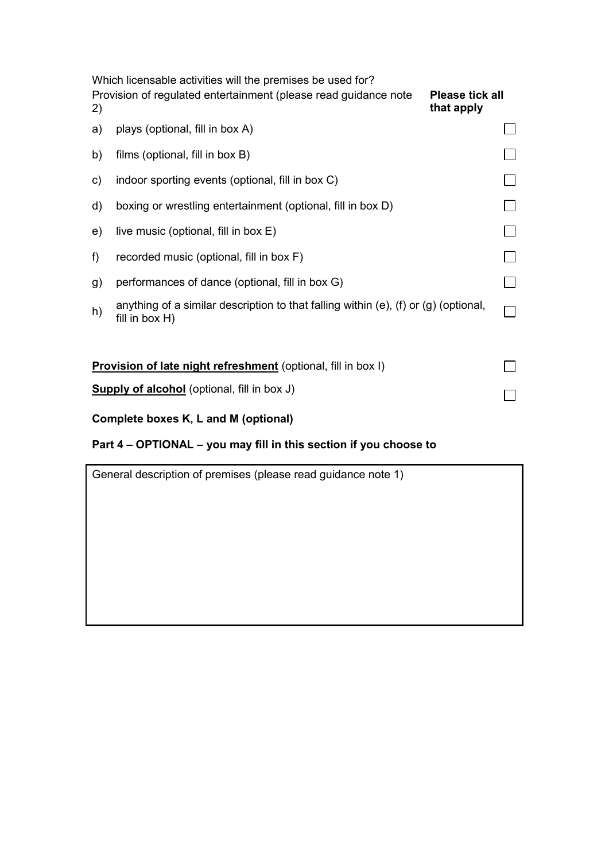|    | Which licensable activities will the premises be used for?                                              |  |
|----|---------------------------------------------------------------------------------------------------------|--|
| 2) | Provision of regulated entertainment (please read guidance note<br><b>Please tick all</b><br>that apply |  |
| a) | plays (optional, fill in box A)                                                                         |  |
| b) | films (optional, fill in box B)                                                                         |  |
| C) | indoor sporting events (optional, fill in box C)                                                        |  |
| d) | boxing or wrestling entertainment (optional, fill in box D)                                             |  |
| e) | live music (optional, fill in box E)                                                                    |  |
| f  | recorded music (optional, fill in box F)                                                                |  |
| g) | performances of dance (optional, fill in box G)                                                         |  |
| h) | anything of a similar description to that falling within (e), (f) or (g) (optional,<br>fill in box H)   |  |
|    | Provision of late night refreshment (optional, fill in box I)                                           |  |
|    | <b>Supply of alcohol</b> (optional, fill in box J)                                                      |  |

# **Complete boxes K, L and M (optional)**

# **Part 4 – OPTIONAL – you may fill in this section if you choose to**

| General description of premises (please read guidance note 1) |  |  |  |  |  |  |
|---------------------------------------------------------------|--|--|--|--|--|--|
|                                                               |  |  |  |  |  |  |
|                                                               |  |  |  |  |  |  |
|                                                               |  |  |  |  |  |  |
|                                                               |  |  |  |  |  |  |
|                                                               |  |  |  |  |  |  |
|                                                               |  |  |  |  |  |  |
|                                                               |  |  |  |  |  |  |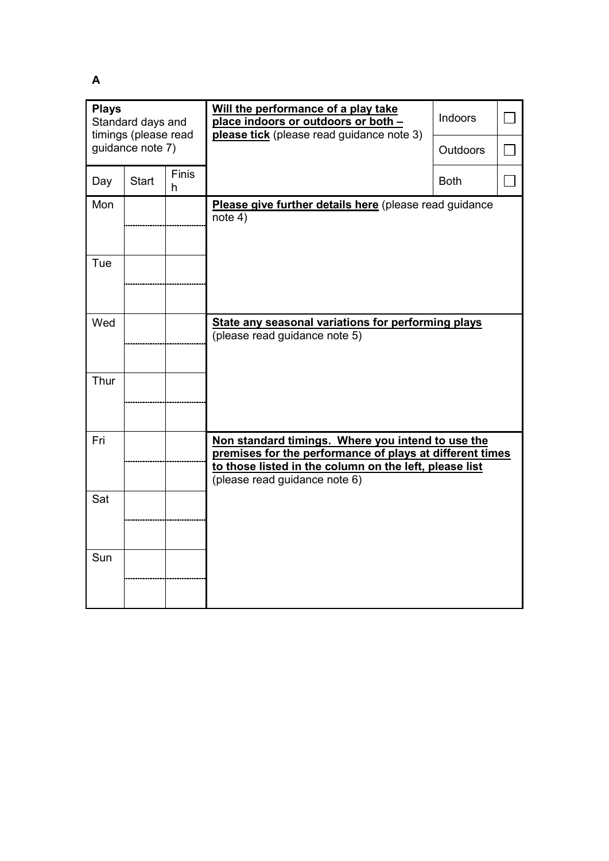**A** 

| <b>Plays</b><br>Standard days and<br>timings (please read |              |                   | Will the performance of a play take<br>place indoors or outdoors or both -<br>please tick (please read guidance note 3)                                                                                  | Indoors         |  |
|-----------------------------------------------------------|--------------|-------------------|----------------------------------------------------------------------------------------------------------------------------------------------------------------------------------------------------------|-----------------|--|
| guidance note 7)                                          |              |                   |                                                                                                                                                                                                          | <b>Outdoors</b> |  |
| Day                                                       | <b>Start</b> | <b>Finis</b><br>h |                                                                                                                                                                                                          | <b>Both</b>     |  |
| Mon                                                       |              |                   | Please give further details here (please read guidance<br>note 4)                                                                                                                                        |                 |  |
| Tue                                                       |              |                   |                                                                                                                                                                                                          |                 |  |
| Wed                                                       |              |                   | State any seasonal variations for performing plays<br>(please read guidance note 5)                                                                                                                      |                 |  |
| Thur                                                      |              |                   |                                                                                                                                                                                                          |                 |  |
| Fri                                                       |              |                   | Non standard timings. Where you intend to use the<br>premises for the performance of plays at different times<br>to those listed in the column on the left, please list<br>(please read guidance note 6) |                 |  |
| Sat                                                       |              |                   |                                                                                                                                                                                                          |                 |  |
| Sun                                                       |              |                   |                                                                                                                                                                                                          |                 |  |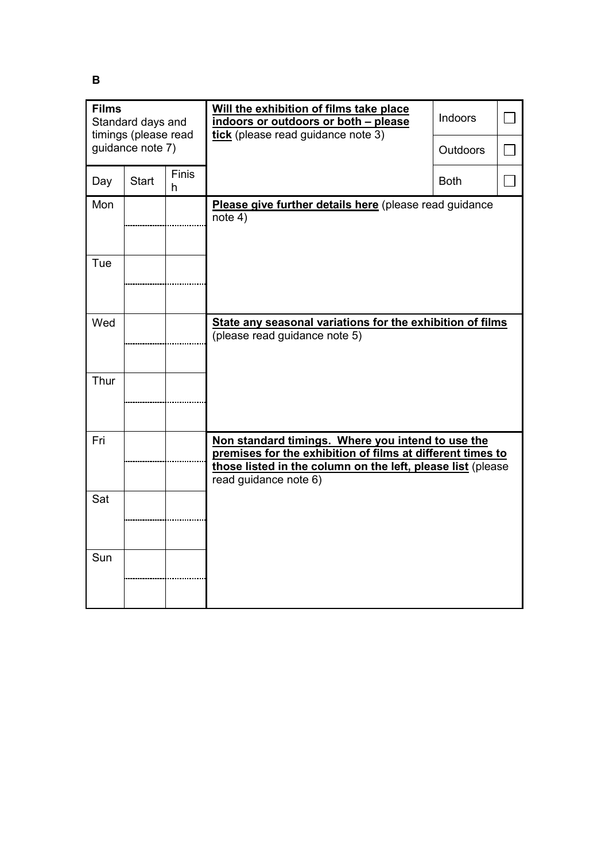**B** 

| <b>Films</b><br>Standard days and<br>timings (please read |              |                   | Will the exhibition of films take place<br>indoors or outdoors or both - please<br>tick (please read guidance note 3)                                                                                   | Indoors         |  |
|-----------------------------------------------------------|--------------|-------------------|---------------------------------------------------------------------------------------------------------------------------------------------------------------------------------------------------------|-----------------|--|
| guidance note 7)                                          |              |                   |                                                                                                                                                                                                         | <b>Outdoors</b> |  |
| Day                                                       | <b>Start</b> | <b>Finis</b><br>h |                                                                                                                                                                                                         | <b>Both</b>     |  |
| Mon                                                       |              |                   | Please give further details here (please read guidance<br>note 4)                                                                                                                                       |                 |  |
| Tue                                                       |              |                   |                                                                                                                                                                                                         |                 |  |
| Wed                                                       |              |                   | State any seasonal variations for the exhibition of films<br>(please read guidance note 5)                                                                                                              |                 |  |
| Thur                                                      |              |                   |                                                                                                                                                                                                         |                 |  |
| Fri                                                       |              |                   | Non standard timings. Where you intend to use the<br>premises for the exhibition of films at different times to<br>those listed in the column on the left, please list (please<br>read guidance note 6) |                 |  |
| Sat                                                       |              |                   |                                                                                                                                                                                                         |                 |  |
| Sun                                                       |              |                   |                                                                                                                                                                                                         |                 |  |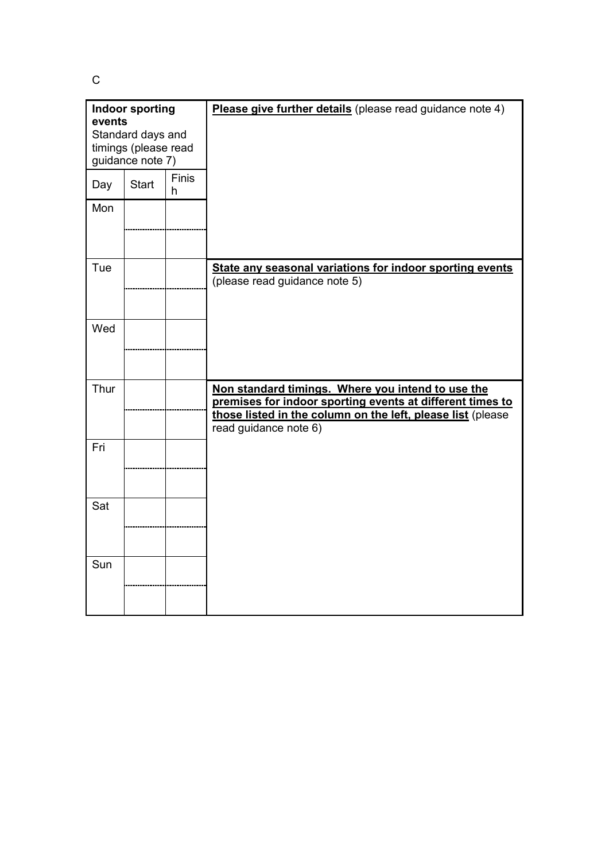C

| <b>Indoor sporting</b><br>events<br>Standard days and<br>timings (please read<br>guidance note 7) |              |            | Please give further details (please read guidance note 4)                                                                                                                                              |
|---------------------------------------------------------------------------------------------------|--------------|------------|--------------------------------------------------------------------------------------------------------------------------------------------------------------------------------------------------------|
| Day                                                                                               | <b>Start</b> | Finis<br>h |                                                                                                                                                                                                        |
| Mon                                                                                               |              |            |                                                                                                                                                                                                        |
| Tue                                                                                               |              |            | State any seasonal variations for indoor sporting events<br>(please read guidance note 5)                                                                                                              |
| Wed                                                                                               |              |            |                                                                                                                                                                                                        |
| Thur                                                                                              |              |            | Non standard timings. Where you intend to use the<br>premises for indoor sporting events at different times to<br>those listed in the column on the left, please list (please<br>read guidance note 6) |
| Fri                                                                                               |              |            |                                                                                                                                                                                                        |
| Sat                                                                                               |              |            |                                                                                                                                                                                                        |
| Sun                                                                                               |              |            |                                                                                                                                                                                                        |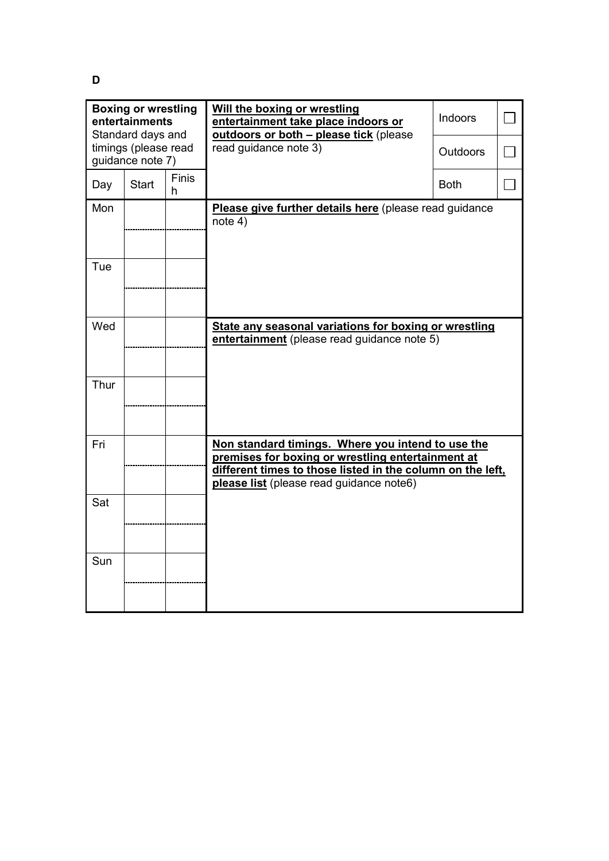**D** 

| <b>Boxing or wrestling</b><br>entertainments<br>Standard days and<br>timings (please read |                  |                   | Will the boxing or wrestling<br>entertainment take place indoors or<br>outdoors or both - please tick (please<br>read guidance note 3)                                                                           | <b>Indoors</b><br><b>Outdoors</b> |  |
|-------------------------------------------------------------------------------------------|------------------|-------------------|------------------------------------------------------------------------------------------------------------------------------------------------------------------------------------------------------------------|-----------------------------------|--|
|                                                                                           | guidance note 7) |                   |                                                                                                                                                                                                                  |                                   |  |
| Day                                                                                       | <b>Start</b>     | <b>Finis</b><br>h |                                                                                                                                                                                                                  | <b>Both</b>                       |  |
| Mon                                                                                       |                  |                   | Please give further details here (please read guidance<br>note 4)                                                                                                                                                |                                   |  |
| Tue                                                                                       |                  |                   |                                                                                                                                                                                                                  |                                   |  |
| Wed                                                                                       |                  |                   | State any seasonal variations for boxing or wrestling<br>entertainment (please read guidance note 5)                                                                                                             |                                   |  |
| Thur                                                                                      |                  |                   |                                                                                                                                                                                                                  |                                   |  |
| Fri                                                                                       |                  |                   | Non standard timings. Where you intend to use the<br>premises for boxing or wrestling entertainment at<br>different times to those listed in the column on the left,<br>please list (please read guidance note6) |                                   |  |
| Sat                                                                                       |                  |                   |                                                                                                                                                                                                                  |                                   |  |
| Sun                                                                                       |                  |                   |                                                                                                                                                                                                                  |                                   |  |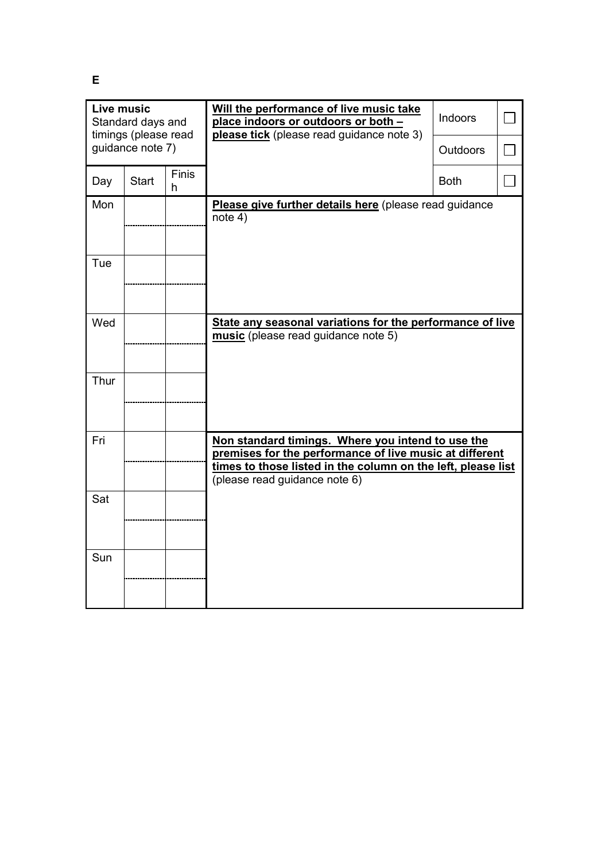**Live music Will the performance of live music take**  Indoors  $\Box$ Standard days and **place indoors or outdoors or both –** timings (please read **please tick** (please read guidance note 3) guidance note 7)  $\Box$ **Outdoors** Day Start  $\Big| \begin{matrix}$  Finis  $\Box$ Both h Mon | **Please give further details here** (please read guidance note 4) Tue Wed **State any seasonal variations for the performance of live music** (please read guidance note 5) Thur Fri **Non standard timings. Where you intend to use the premises for the performance of live music at different times to those listed in the column on the left, please list** (please read guidance note 6) Sat Sun

**E**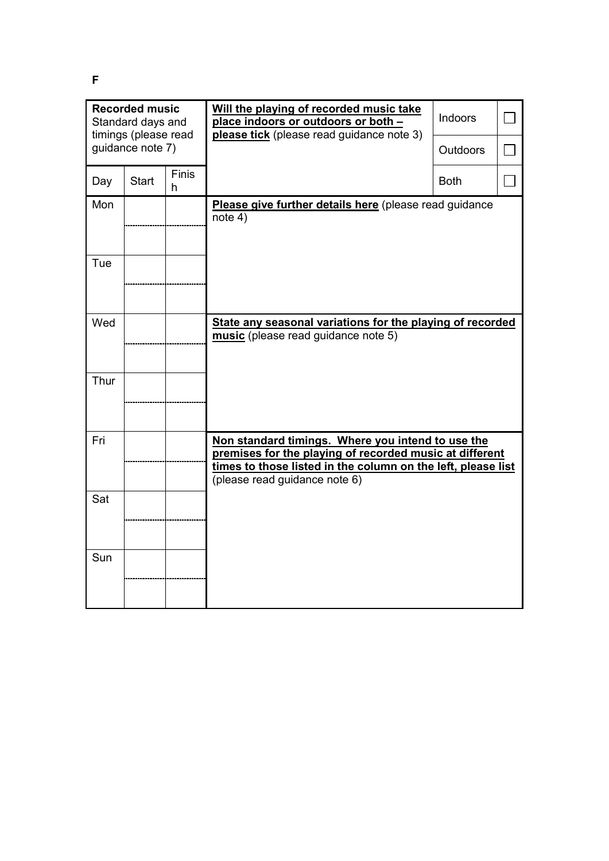**Recorded music Will the playing of recorded music take**  Indoors  $\Box$ Standard days and **place indoors or outdoors or both – please tick** (please read guidance note 3) timings (please read guidance note 7)  $\Box$ **Outdoors** Day Start  $\Big| \begin{matrix}$  Finis  $\Box$ Both h Mon **Please give further details here** (please read guidance note 4) Tue Wed **State any seasonal variations for the playing of recorded music** (please read guidance note 5) Thur Fri **Non standard timings. Where you intend to use the premises for the playing of recorded music at different times to those listed in the column on the left, please list** (please read guidance note 6) Sat Sun

**F**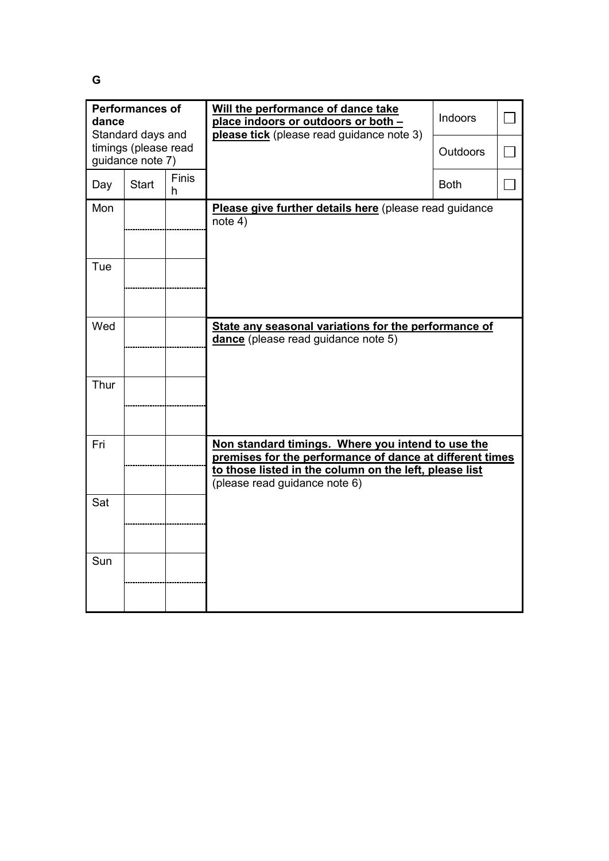**G** 

| <b>Performances of</b><br>dance<br>Standard days and |              |                   | Will the performance of dance take<br>place indoors or outdoors or both -<br>please tick (please read guidance note 3)                                                                                   | Indoors         |  |
|------------------------------------------------------|--------------|-------------------|----------------------------------------------------------------------------------------------------------------------------------------------------------------------------------------------------------|-----------------|--|
| timings (please read<br>guidance note 7)             |              |                   |                                                                                                                                                                                                          | <b>Outdoors</b> |  |
| Day                                                  | <b>Start</b> | <b>Finis</b><br>h |                                                                                                                                                                                                          | <b>Both</b>     |  |
| Mon                                                  |              |                   | Please give further details here (please read guidance<br>note 4)                                                                                                                                        |                 |  |
| Tue                                                  |              |                   |                                                                                                                                                                                                          |                 |  |
| Wed                                                  |              |                   | State any seasonal variations for the performance of<br>dance (please read guidance note 5)                                                                                                              |                 |  |
| Thur                                                 |              |                   |                                                                                                                                                                                                          |                 |  |
| Fri                                                  |              |                   | Non standard timings. Where you intend to use the<br>premises for the performance of dance at different times<br>to those listed in the column on the left, please list<br>(please read guidance note 6) |                 |  |
| Sat                                                  |              |                   |                                                                                                                                                                                                          |                 |  |
| Sun                                                  |              |                   |                                                                                                                                                                                                          |                 |  |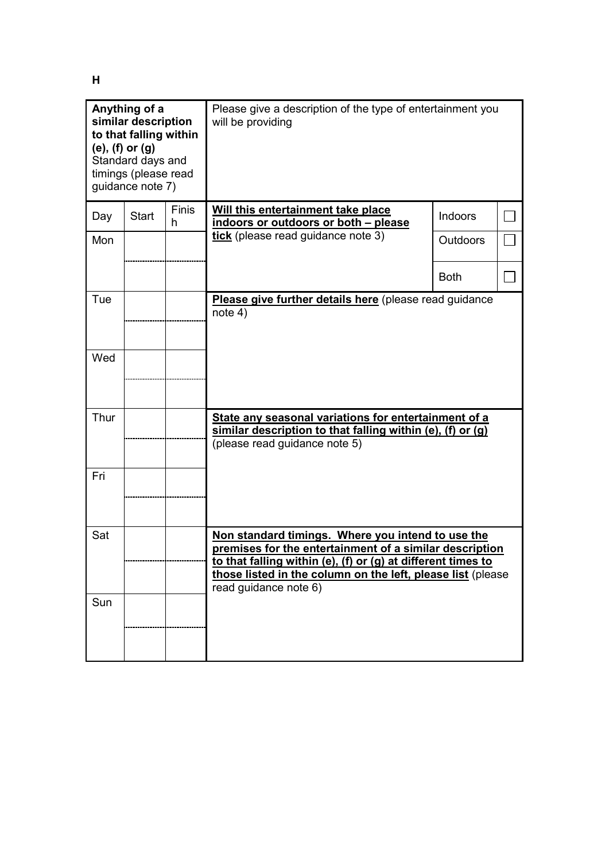**H** 

| Anything of a<br>similar description<br>to that falling within<br>$(e)$ , $(f)$ or $(g)$<br>Standard days and<br>timings (please read<br>guidance note 7) |              |                   | Please give a description of the type of entertainment you<br>will be providing                                                                                                                                                                                      |                 |  |
|-----------------------------------------------------------------------------------------------------------------------------------------------------------|--------------|-------------------|----------------------------------------------------------------------------------------------------------------------------------------------------------------------------------------------------------------------------------------------------------------------|-----------------|--|
| Day                                                                                                                                                       | <b>Start</b> | <b>Finis</b><br>h | Will this entertainment take place<br>indoors or outdoors or both - please                                                                                                                                                                                           | Indoors         |  |
| Mon                                                                                                                                                       |              |                   | tick (please read guidance note 3)                                                                                                                                                                                                                                   | <b>Outdoors</b> |  |
|                                                                                                                                                           |              |                   |                                                                                                                                                                                                                                                                      | <b>Both</b>     |  |
| Tue<br>Wed                                                                                                                                                |              |                   | Please give further details here (please read guidance<br>note 4)                                                                                                                                                                                                    |                 |  |
|                                                                                                                                                           |              |                   |                                                                                                                                                                                                                                                                      |                 |  |
| Thur                                                                                                                                                      |              |                   | State any seasonal variations for entertainment of a<br>similar description to that falling within (e), (f) or (g)<br>(please read guidance note 5)                                                                                                                  |                 |  |
| Fri                                                                                                                                                       |              |                   |                                                                                                                                                                                                                                                                      |                 |  |
| Sat                                                                                                                                                       |              |                   | Non standard timings. Where you intend to use the<br>premises for the entertainment of a similar description<br>to that falling within (e), (f) or (g) at different times to<br>those listed in the column on the left, please list (please<br>read guidance note 6) |                 |  |
| Sun                                                                                                                                                       |              |                   |                                                                                                                                                                                                                                                                      |                 |  |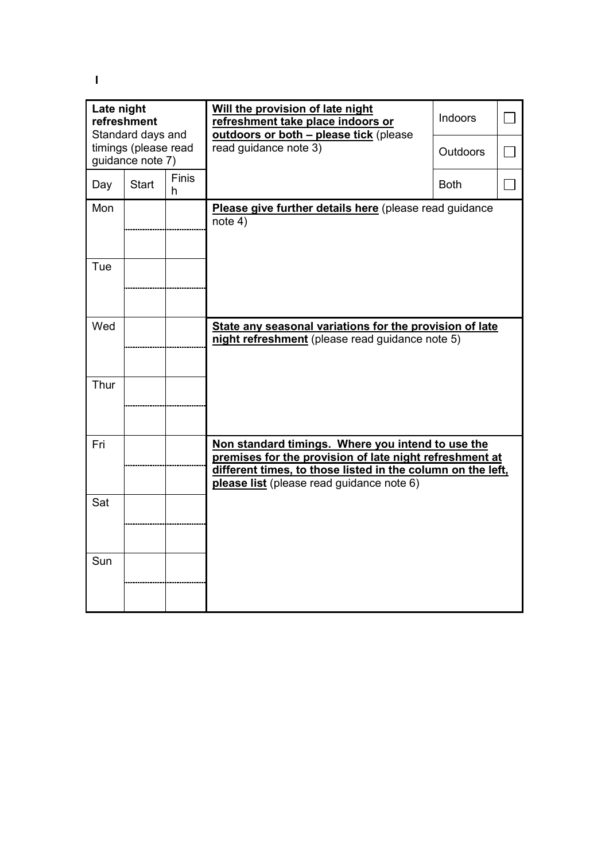**I** 

| Late night<br>refreshment<br>Standard days and |              |                   | Will the provision of late night<br>refreshment take place indoors or<br>outdoors or both - please tick (please                                                                                                          | Indoors         |  |
|------------------------------------------------|--------------|-------------------|--------------------------------------------------------------------------------------------------------------------------------------------------------------------------------------------------------------------------|-----------------|--|
| timings (please read<br>guidance note 7)       |              |                   | read guidance note 3)                                                                                                                                                                                                    | <b>Outdoors</b> |  |
| Day                                            | <b>Start</b> | <b>Finis</b><br>h |                                                                                                                                                                                                                          | <b>Both</b>     |  |
| Mon                                            |              |                   | Please give further details here (please read guidance<br>note 4)                                                                                                                                                        |                 |  |
| Tue                                            |              |                   |                                                                                                                                                                                                                          |                 |  |
| Wed                                            |              |                   | State any seasonal variations for the provision of late<br>night refreshment (please read guidance note 5)                                                                                                               |                 |  |
| Thur                                           |              |                   |                                                                                                                                                                                                                          |                 |  |
| Fri                                            |              |                   | Non standard timings. Where you intend to use the<br>premises for the provision of late night refreshment at<br>different times, to those listed in the column on the left,<br>please list (please read guidance note 6) |                 |  |
| Sat                                            |              |                   |                                                                                                                                                                                                                          |                 |  |
| Sun                                            |              |                   |                                                                                                                                                                                                                          |                 |  |
|                                                |              |                   |                                                                                                                                                                                                                          |                 |  |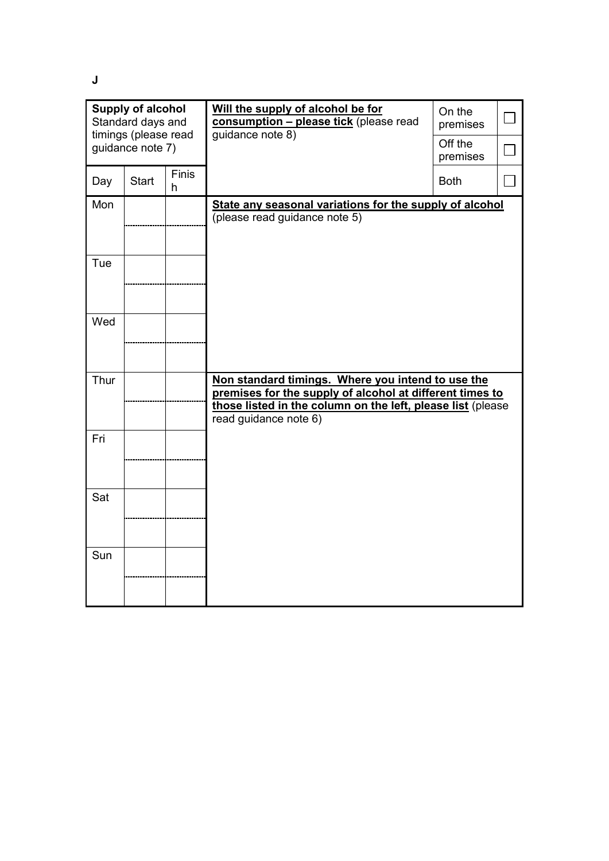**J** 

| <b>Supply of alcohol</b><br>Standard days and<br>timings (please read<br>guidance note 7) |       |                   | Will the supply of alcohol be for<br>consumption - please tick (please read<br>guidance note 8)               | On the<br>premises<br>Off the |  |
|-------------------------------------------------------------------------------------------|-------|-------------------|---------------------------------------------------------------------------------------------------------------|-------------------------------|--|
|                                                                                           |       |                   |                                                                                                               | premises                      |  |
| Day                                                                                       | Start | <b>Finis</b><br>h |                                                                                                               | <b>Both</b>                   |  |
| Mon                                                                                       |       |                   | State any seasonal variations for the supply of alcohol                                                       |                               |  |
|                                                                                           |       |                   | (please read guidance note 5)                                                                                 |                               |  |
| Tue                                                                                       |       |                   |                                                                                                               |                               |  |
| Wed                                                                                       |       |                   |                                                                                                               |                               |  |
|                                                                                           |       |                   |                                                                                                               |                               |  |
| Thur                                                                                      |       |                   | Non standard timings. Where you intend to use the<br>premises for the supply of alcohol at different times to |                               |  |
|                                                                                           |       |                   | those listed in the column on the left, please list (please<br>read guidance note 6)                          |                               |  |
| Fri                                                                                       |       |                   |                                                                                                               |                               |  |
|                                                                                           |       |                   |                                                                                                               |                               |  |
| Sat                                                                                       |       |                   |                                                                                                               |                               |  |
|                                                                                           |       |                   |                                                                                                               |                               |  |
| Sun                                                                                       |       |                   |                                                                                                               |                               |  |
|                                                                                           |       |                   |                                                                                                               |                               |  |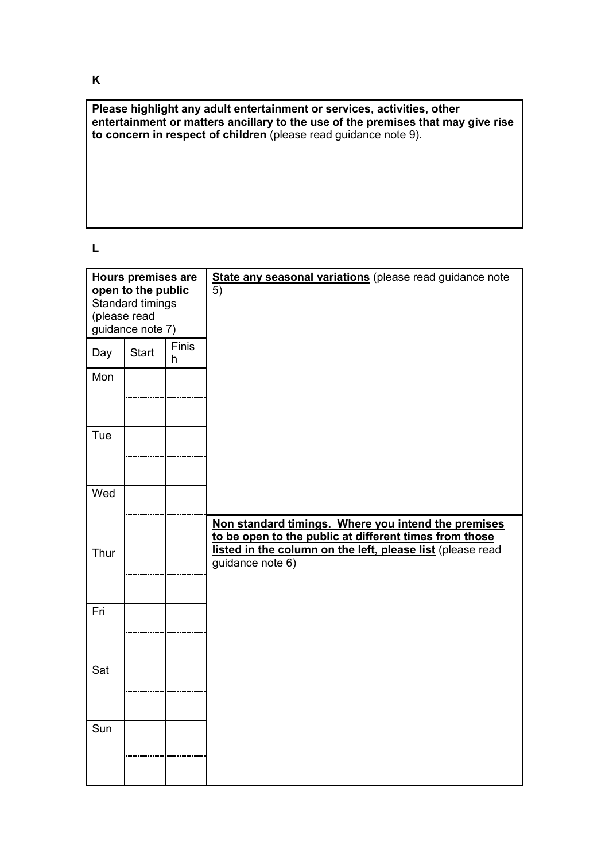**Please highlight any adult entertainment or services, activities, other entertainment or matters ancillary to the use of the premises that may give rise to concern in respect of children** (please read guidance note 9).

**L** 

| <b>Hours premises are</b><br>open to the public<br>Standard timings<br>(please read<br>guidance note 7) |              |            | State any seasonal variations (please read guidance note<br>5)                                                |
|---------------------------------------------------------------------------------------------------------|--------------|------------|---------------------------------------------------------------------------------------------------------------|
| Day                                                                                                     | <b>Start</b> | Finis<br>h |                                                                                                               |
| Mon                                                                                                     |              |            |                                                                                                               |
| Tue                                                                                                     |              |            |                                                                                                               |
| Wed                                                                                                     |              |            | Non standard timings. Where you intend the premises<br>to be open to the public at different times from those |
| Thur                                                                                                    |              |            | listed in the column on the left, please list (please read<br>guidance note 6)                                |
| Fri                                                                                                     |              |            |                                                                                                               |
| Sat                                                                                                     |              |            |                                                                                                               |
| Sun                                                                                                     |              |            |                                                                                                               |

**K**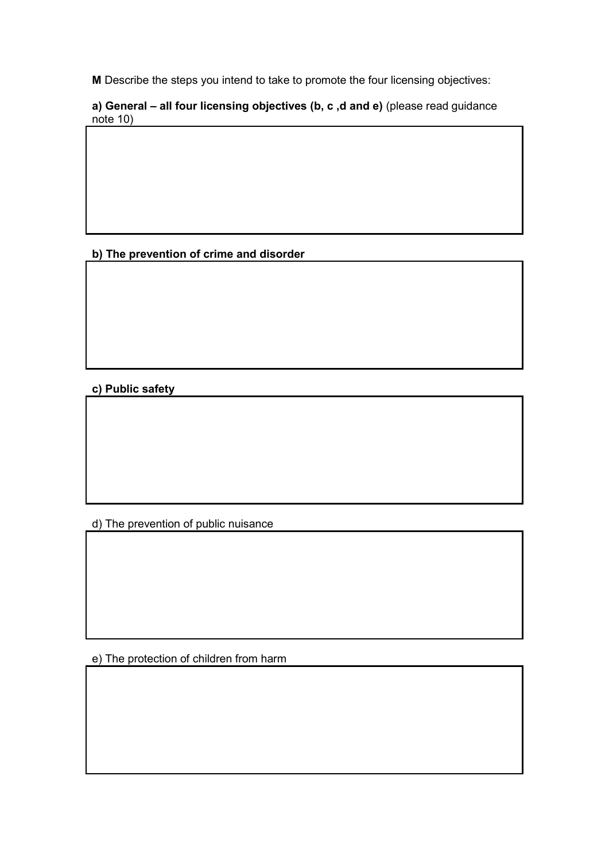**M** Describe the steps you intend to take to promote the four licensing objectives:

**a) General – all four licensing objectives (b, c ,d and e)** (please read guidance note 10)

**b) The prevention of crime and disorder** 

**c) Public safety** 

d) The prevention of public nuisance

e) The protection of children from harm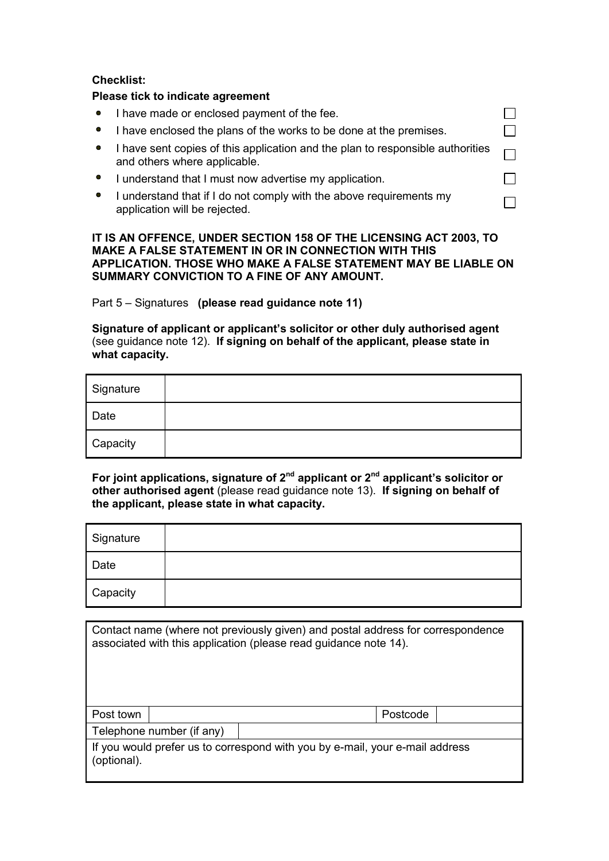### **Checklist:**

### **Please tick to indicate agreement**

| • I have made or enclosed payment of the fee.                                                                  |  |
|----------------------------------------------------------------------------------------------------------------|--|
| I have enclosed the plans of the works to be done at the premises.                                             |  |
| I have sent copies of this application and the plan to responsible authorities<br>and others where applicable. |  |
| I understand that I must now advertise my application.                                                         |  |
| I understand that if I do not comply with the above requirements my<br>application will be rejected.           |  |

### **IT IS AN OFFENCE, UNDER SECTION 158 OF THE LICENSING ACT 2003, TO MAKE A FALSE STATEMENT IN OR IN CONNECTION WITH THIS APPLICATION. THOSE WHO MAKE A FALSE STATEMENT MAY BE LIABLE ON SUMMARY CONVICTION TO A FINE OF ANY AMOUNT.**

Part 5 – Signatures **(please read guidance note 11)**

**Signature of applicant or applicant's solicitor or other duly authorised agent**  (see guidance note 12). **If signing on behalf of the applicant, please state in what capacity.** 

| Signature |  |
|-----------|--|
| Date      |  |
| Capacity  |  |

**For joint applications, signature of 2nd applicant or 2nd applicant's solicitor or other authorised agent** (please read guidance note 13). **If signing on behalf of the applicant, please state in what capacity.** 

| Signature |  |
|-----------|--|
| Date      |  |
| Capacity  |  |

| Contact name (where not previously given) and postal address for correspondence<br>associated with this application (please read guidance note 14). |  |          |  |  |
|-----------------------------------------------------------------------------------------------------------------------------------------------------|--|----------|--|--|
| Post town                                                                                                                                           |  | Postcode |  |  |
| Telephone number (if any)                                                                                                                           |  |          |  |  |
| If you would prefer us to correspond with you by e-mail, your e-mail address<br>(optional).                                                         |  |          |  |  |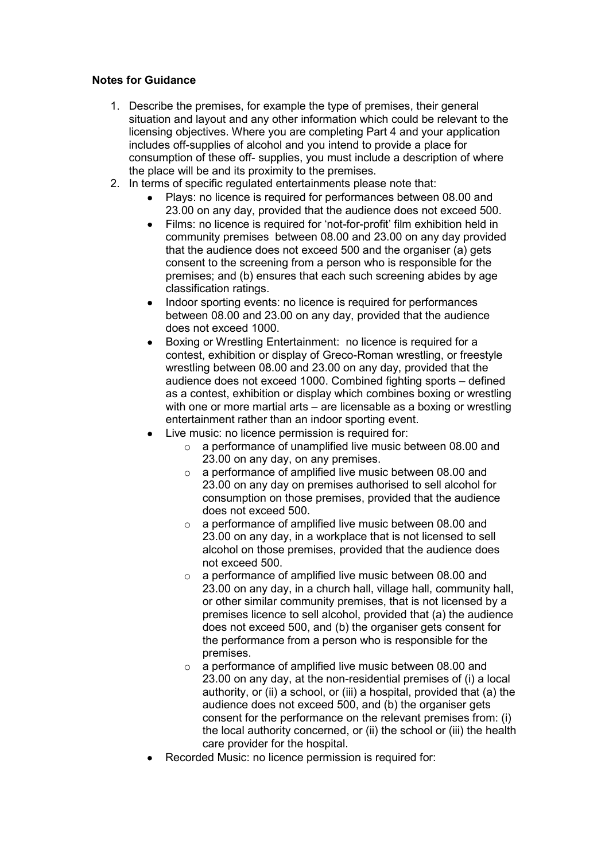## **Notes for Guidance**

- 1. Describe the premises, for example the type of premises, their general situation and layout and any other information which could be relevant to the licensing objectives. Where you are completing Part 4 and your application includes off-supplies of alcohol and you intend to provide a place for consumption of these off- supplies, you must include a description of where the place will be and its proximity to the premises.
- 2. In terms of specific regulated entertainments please note that:
	- Plays: no licence is required for performances between 08.00 and 23.00 on any day, provided that the audience does not exceed 500.
	- Films: no licence is required for 'not-for-profit' film exhibition held in community premises between 08.00 and 23.00 on any day provided that the audience does not exceed 500 and the organiser (a) gets consent to the screening from a person who is responsible for the premises; and (b) ensures that each such screening abides by age classification ratings.
	- Indoor sporting events: no licence is required for performances between 08.00 and 23.00 on any day, provided that the audience does not exceed 1000.
	- Boxing or Wrestling Entertainment: no licence is required for a contest, exhibition or display of Greco-Roman wrestling, or freestyle wrestling between 08.00 and 23.00 on any day, provided that the audience does not exceed 1000. Combined fighting sports – defined as a contest, exhibition or display which combines boxing or wrestling with one or more martial arts – are licensable as a boxing or wrestling entertainment rather than an indoor sporting event.
	- Live music: no licence permission is required for:
		- o a performance of unamplified live music between 08.00 and 23.00 on any day, on any premises.
		- o a performance of amplified live music between 08.00 and 23.00 on any day on premises authorised to sell alcohol for consumption on those premises, provided that the audience does not exceed 500.
		- o a performance of amplified live music between 08.00 and 23.00 on any day, in a workplace that is not licensed to sell alcohol on those premises, provided that the audience does not exceed 500.
		- o a performance of amplified live music between 08.00 and 23.00 on any day, in a church hall, village hall, community hall, or other similar community premises, that is not licensed by a premises licence to sell alcohol, provided that (a) the audience does not exceed 500, and (b) the organiser gets consent for the performance from a person who is responsible for the premises.
		- o a performance of amplified live music between 08.00 and 23.00 on any day, at the non-residential premises of (i) a local authority, or (ii) a school, or (iii) a hospital, provided that (a) the audience does not exceed 500, and (b) the organiser gets consent for the performance on the relevant premises from: (i) the local authority concerned, or (ii) the school or (iii) the health care provider for the hospital.
	- Recorded Music: no licence permission is required for: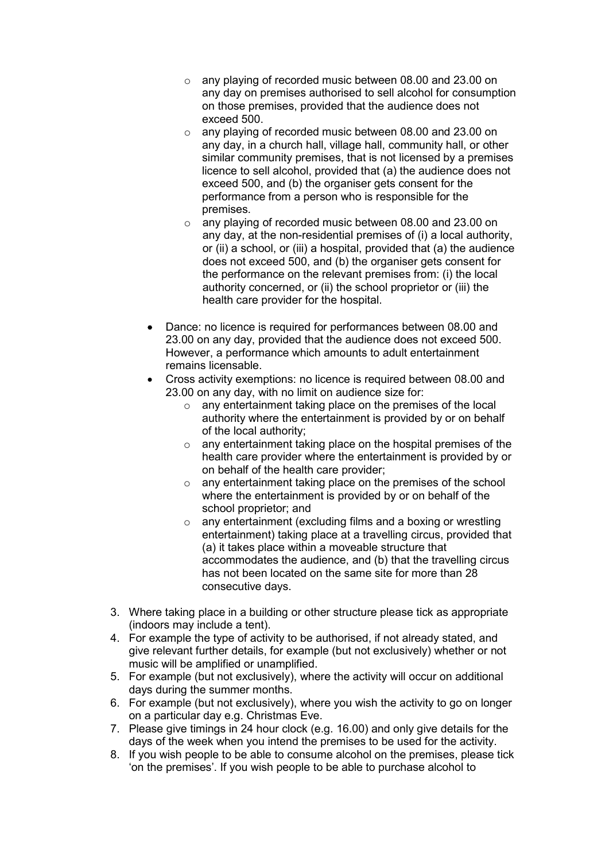- o any playing of recorded music between 08.00 and 23.00 on any day on premises authorised to sell alcohol for consumption on those premises, provided that the audience does not exceed 500.
- o any playing of recorded music between 08.00 and 23.00 on any day, in a church hall, village hall, community hall, or other similar community premises, that is not licensed by a premises licence to sell alcohol, provided that (a) the audience does not exceed 500, and (b) the organiser gets consent for the performance from a person who is responsible for the premises.
- o any playing of recorded music between 08.00 and 23.00 on any day, at the non-residential premises of (i) a local authority, or (ii) a school, or (iii) a hospital, provided that (a) the audience does not exceed 500, and (b) the organiser gets consent for the performance on the relevant premises from: (i) the local authority concerned, or (ii) the school proprietor or (iii) the health care provider for the hospital.
- Dance: no licence is required for performances between 08.00 and 23.00 on any day, provided that the audience does not exceed 500. However, a performance which amounts to adult entertainment remains licensable.
- Cross activity exemptions: no licence is required between 08.00 and 23.00 on any day, with no limit on audience size for:
	- o any entertainment taking place on the premises of the local authority where the entertainment is provided by or on behalf of the local authority;
	- o any entertainment taking place on the hospital premises of the health care provider where the entertainment is provided by or on behalf of the health care provider;
	- o any entertainment taking place on the premises of the school where the entertainment is provided by or on behalf of the school proprietor; and
	- o any entertainment (excluding films and a boxing or wrestling entertainment) taking place at a travelling circus, provided that (a) it takes place within a moveable structure that accommodates the audience, and (b) that the travelling circus has not been located on the same site for more than 28 consecutive days.
- 3. Where taking place in a building or other structure please tick as appropriate (indoors may include a tent).
- 4. For example the type of activity to be authorised, if not already stated, and give relevant further details, for example (but not exclusively) whether or not music will be amplified or unamplified.
- 5. For example (but not exclusively), where the activity will occur on additional days during the summer months.
- 6. For example (but not exclusively), where you wish the activity to go on longer on a particular day e.g. Christmas Eve.
- 7. Please give timings in 24 hour clock (e.g. 16.00) and only give details for the days of the week when you intend the premises to be used for the activity.
- 8. If you wish people to be able to consume alcohol on the premises, please tick 'on the premises'. If you wish people to be able to purchase alcohol to